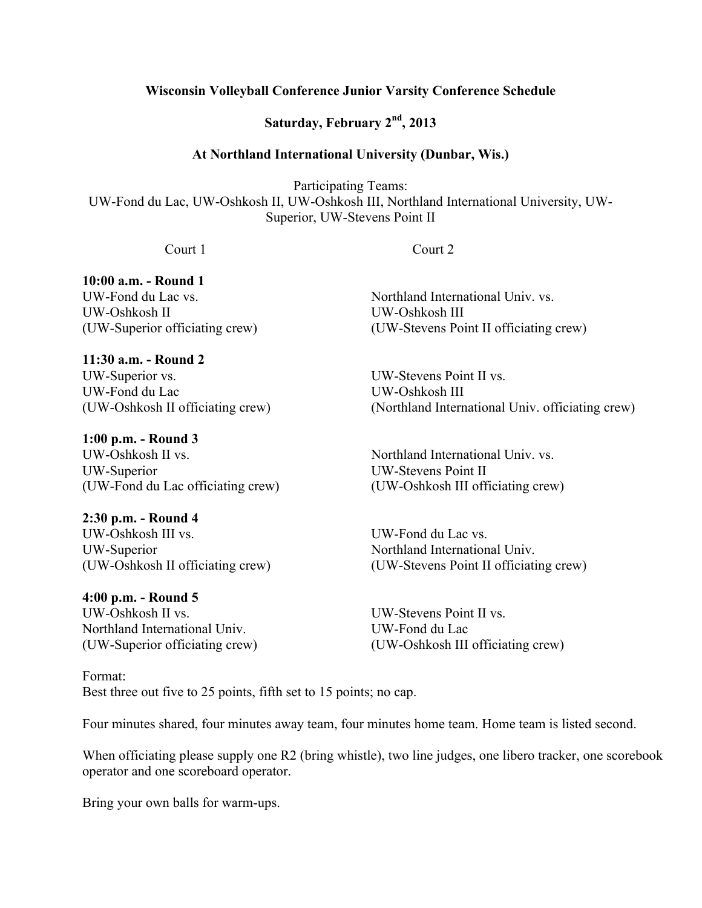## **Wisconsin Volleyball Conference Junior Varsity Conference Schedule**

**Saturday, February 2nd, 2013**

## **At Northland International University (Dunbar, Wis.)**

Participating Teams: UW-Fond du Lac, UW-Oshkosh II, UW-Oshkosh III, Northland International University, UW-Superior, UW-Stevens Point II

Court 1 Court 2

**10:00 a.m. - Round 1**

UW-Oshkosh II UW-Oshkosh III

**11:30 a.m. - Round 2** UW-Superior vs. UW-Stevens Point II vs. UW-Fond du Lac UW-Oshkosh III

**1:00 p.m. - Round 3** UW-Oshkosh II vs. Northland International Univ. vs. UW-Superior UW-Stevens Point II (UW-Fond du Lac officiating crew) (UW-Oshkosh III officiating crew)

# **2:30 p.m. - Round 4**

UW-Oshkosh III vs. UW-Fond du Lac vs. UW-Superior **Northland International Univ.** 

# **4:00 p.m. - Round 5**

UW-Oshkosh II vs. UW-Stevens Point II vs. Northland International Univ. UW-Fond du Lac

Format: Best three out five to 25 points, fifth set to 15 points; no cap.

UW-Fond du Lac vs. The Control of the Northland International Univ. vs. (UW-Superior officiating crew) (UW-Stevens Point II officiating crew)

(UW-Oshkosh II officiating crew) (Northland International Univ. officiating crew)

(UW-Oshkosh II officiating crew) (UW-Stevens Point II officiating crew)

(UW-Superior officiating crew) (UW-Oshkosh III officiating crew)

Four minutes shared, four minutes away team, four minutes home team. Home team is listed second.

When officiating please supply one R2 (bring whistle), two line judges, one libero tracker, one scorebook operator and one scoreboard operator.

Bring your own balls for warm-ups.